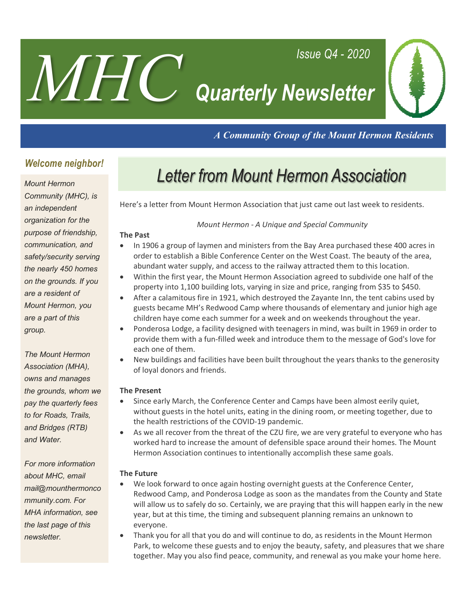# *Quarterly Newsletter*



*A Community Group of the Mount Hermon Residents*

*Issue Q4 - 2020*

### *Welcome neighbor!*

*MHC*

#### *Mount Hermon*

*Community (MHC), is an independent organization for the purpose of friendship, communication, and safety/security serving the nearly 450 homes on the grounds. If you are a resident of Mount Hermon, you are a part of this group.* 

*The Mount Hermon Association (MHA), owns and manages the grounds, whom we pay the quarterly fees to for Roads, Trails, and Bridges (RTB) and Water.* 

*For more information about MHC, email mail@mounthermonco mmunity.com. For MHA information, see the last page of this newsletter.*

### **Letter from Mount Hermon Association**

Here's a letter from Mount Hermon Association that just came out last week to residents.

#### *Mount Hermon - A Unique and Special Community*

#### **The Past**

- In 1906 a group of laymen and ministers from the Bay Area purchased these 400 acres in order to establish a Bible Conference Center on the West Coast. The beauty of the area, abundant water supply, and access to the railway attracted them to this location.
- Within the first year, the Mount Hermon Association agreed to subdivide one half of the property into 1,100 building lots, varying in size and price, ranging from \$35 to \$450.
- After a calamitous fire in 1921, which destroyed the Zayante Inn, the tent cabins used by guests became MH's Redwood Camp where thousands of elementary and junior high age children haye come each summer for a week and on weekends throughout the year.
- Ponderosa Lodge, a facility designed with teenagers in mind, was built in 1969 in order to provide them with a fun-filled week and introduce them to the message of God's love for each one of them.
- New buildings and facilities have been built throughout the years thanks to the generosity of loyal donors and friends.

#### **The Present**

- Since early March, the Conference Center and Camps have been almost eerily quiet, without guests in the hotel units, eating in the dining room, or meeting together, due to the health restrictions of the COVID-19 pandemic.
- As we all recover from the threat of the CZU fire, we are very grateful to everyone who has worked hard to increase the amount of defensible space around their homes. The Mount Hermon Association continues to intentionally accomplish these same goals.

#### **The Future**

- We look forward to once again hosting overnight guests at the Conference Center, Redwood Camp, and Ponderosa Lodge as soon as the mandates from the County and State will allow us to safely do so. Certainly, we are praying that this will happen early in the new year, but at this time, the timing and subsequent planning remains an unknown to everyone.
- Thank you for all that you do and will continue to do, as residents in the Mount Hermon Park, to welcome these guests and to enjoy the beauty, safety, and pleasures that we share together. May you also find peace, community, and renewal as you make your home here.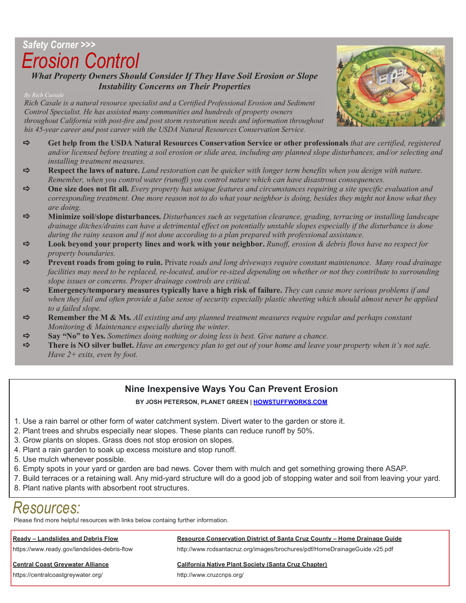### *Safety Corner >>> Erosion Control*

*What Property Owners Should Consider If They Have Soil Erosion or Slope Instability Concerns on Their Properties*

*Rich Casale is a natural resource specialist and a Certified Professional Erosion and Sediment Control Specialist. He has assisted many communities and hundreds of property owners throughout California with post-fire and post storm restoration needs and information throughout his 45-year career and post career with the USDA Natural Resources Conservation Service.*

- a **Get help from the USDA Natural Resources Conservation Service or other professionals** *that are certified, registered and/or licensed before treating a soil erosion or slide area, including any planned slope disturbances, and/or selecting and installing treatment measures.*
- $\Rightarrow$  **Respect the laws of nature.** Land restoration can be quicker with longer term benefits when you design with nature. *Remember, when you control water (runoff) you control nature which can have disastrous consequences.*
- $\Rightarrow$  One size does not fit all. *Every property has unique features and circumstances requiring a site specific evaluation and corresponding treatment. One more reason not to do what your neighbor is doing, besides they might not know what they are doing.*
- a **Minimize soil/slope disturbances.** *Disturbances such as vegetation clearance, grading, terracing or installing landscape drainage ditches/drains can have a detrimental effect on potentially unstable slopes especially if the disturbance is done during the rainy season and if not done according to a plan prepared with professional assistance.*
- a **Look beyond your property lines and work with your neighbor.** *Runoff, erosion & debris flows have no respect for property boundaries.*
- a **Prevent roads from going to ruin.** Private *roads and long driveways require constant maintenance. Many road drainage facilities may need to be replaced, re-located, and/or re-sized depending on whether or not they contribute to surrounding slope issues or concerns. Proper drainage controls are critical.*
- a **Emergency/temporary measures typically have a high risk of failure.** *They can cause more serious problems if and when they fail and often provide a false sense of security especially plastic sheeting which should almost never be applied to a failed slope.*
- a **Remember the M & Ms.** *All existing and any planned treatment measures require regular and perhaps constant Monitoring & Maintenance especially during the winter.*
- $\Rightarrow$  **Say "No" to Yes.** *Sometimes doing nothing or doing less is best. Give nature a chance.*
- a **There is NO silver bullet.** *Have an emergency plan to get out of your home and leave your property when it's not safe. Have 2+ exits, even by foot.*

#### **Nine Inexpensive Ways You Can Prevent Erosion**

**BY JOSH PETERSON, PLANET GREEN | HOWSTUFFWORKS.COM**

- 1. Use a rain barrel or other form of water catchment system. Divert water to the garden or store it.
- 2. Plant trees and shrubs especially near slopes. These plants can reduce runoff by 50%.
- 3. Grow plants on slopes. Grass does not stop erosion on slopes.
- 4. Plant a rain garden to soak up excess moisture and stop runoff.
- 5. Use mulch whenever possible.
- 6. Empty spots in your yard or garden are bad news. Cover them with mulch and get something growing there ASAP.
- 7. Build terraces or a retaining wall. Any mid-yard structure will do a good job of stopping water and soil from leaving your yard.
- 8. Plant native plants with absorbent root structures.

### *Resources:*

Please find more helpful resources with links below containg further information.

https://centralcoastgreywater.org/ http://www.cruzcnps.org/

#### **Ready – Landslides and Debris Flow Resource Conservation District of Santa Cruz County – Home Drainage Guide**

https://www.ready.gov/landslides-debris-flow http://www.rcdsantacruz.org/images/brochures/pdf/HomeDrainageGuide.v25.pdf

#### **Central Coast Greywater Alliance California Native Plant Society (Santa Cruz Chapter)**

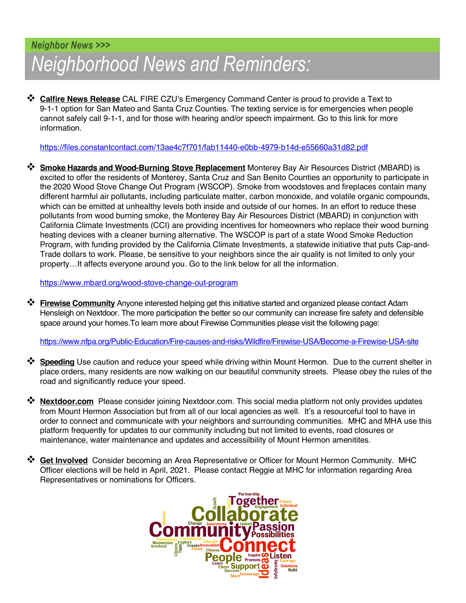### *Neighborhood News and Reminders: Neighbor News >>>*

**<sup>◆</sup> Calfire News Release** CAL FIRE CZU's Emergency Command Center is proud to provide a Text to 9-1-1 option for San Mateo and Santa Cruz Counties. The texting service is for emergencies when people cannot safely call 9-1-1, and for those with hearing and/or speech impairment. Go to this link for more information.

https://files.constantcontact.com/13ae4c7f701/fab11440-e0bb-4979-b14d-e55660a31d82.pdf

\* **Smoke Hazards and Wood-Burning Stove Replacement** Monterey Bay Air Resources District (MBARD) is excited to offer the residents of Monterey, Santa Cruz and San Benito Counties an opportunity to participate in the 2020 Wood Stove Change Out Program (WSCOP). Smoke from woodstoves and fireplaces contain many different harmful air pollutants, including particulate matter, carbon monoxide, and volatile organic compounds, which can be emitted at unhealthy levels both inside and outside of our homes. In an effort to reduce these pollutants from wood burning smoke, the Monterey Bay Air Resources District (MBARD) in conjunction with California Climate Investments (CCI) are providing incentives for homeowners who replace their wood burning heating devices with a cleaner burning alternative. The WSCOP is part of a state Wood Smoke Reduction Program, with funding provided by the California Climate Investments, a statewide initiative that puts Cap-and-Trade dollars to work. Please, be sensitive to your neighbors since the air quality is not limited to only your property…It affects everyone around you. Go to the link below for all the information.

https://www.mbard.org/wood-stove-change-out-program

**<sup>❖</sup> Firewise Community** Anyone interested helping get this initiative started and organized please contact Adam Hensleigh on Nextdoor. The more participation the better so our community can increase fire safety and defensible space around your homes.To learn more about Firewise Communities please visit the following page:

https://www.nfpa.org/Public-Education/Fire-causes-and-risks/Wildfire/Firewise-USA/Become-a-Firewise-USA-site

- **<sup>◆</sup> Speeding** Use caution and reduce your speed while driving within Mount Hermon. Due to the current shelter in place orders, many residents are now walking on our beautiful community streets. Please obey the rules of the road and significantly reduce your speed.
- **\*** Nextdoor.com Please consider joining Nextdoor.com. This social media platform not only provides updates from Mount Hermon Association but from all of our local agencies as well. It's a resourceful tool to have in order to connect and communicate with your neighbors and surrounding communities. MHC and MHA use this platform frequently for updates to our community including but not limited to events, road closures or maintenance, water maintenance and updates and accessilbility of Mount Hermon amenitites.
- **<sup>\*</sup>** Get Involved Consider becoming an Area Representative or Officer for Mount Hermon Community. MHC Officer elections will be held in April, 2021. Please contact Reggie at MHC for information regarding Area Representatives or nominations for Officers.